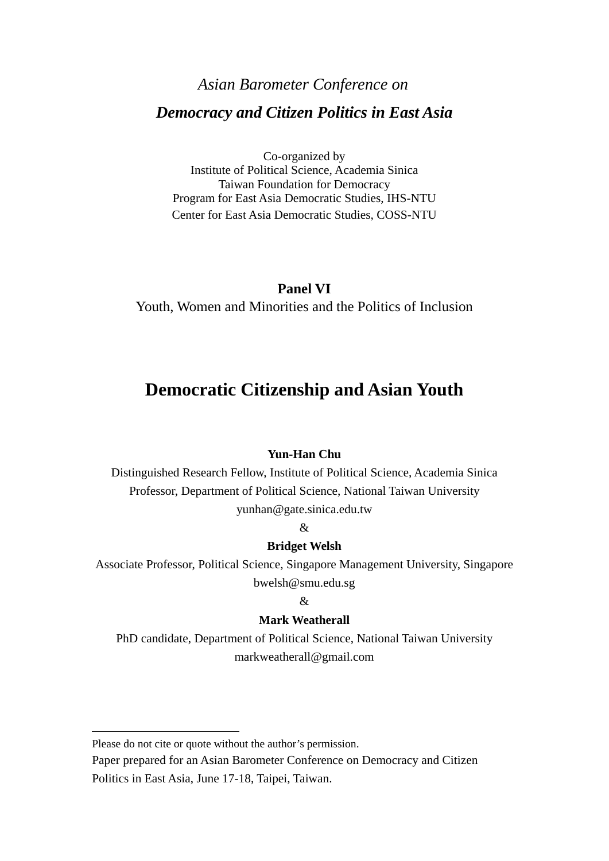# *Asian Barometer Conference on Democracy and Citizen Politics in East Asia*

Co-organized by Institute of Political Science, Academia Sinica Taiwan Foundation for Democracy Program for East Asia Democratic Studies, IHS-NTU Center for East Asia Democratic Studies, COSS-NTU

## **Panel VI**

Youth, Women and Minorities and the Politics of Inclusion

## **Democratic Citizenship and Asian Youth**

#### **Yun-Han Chu**

Distinguished Research Fellow, Institute of Political Science, Academia Sinica Professor, Department of Political Science, National Taiwan University yunhan@gate.sinica.edu.tw

#### &

#### **Bridget Welsh**

Associate Professor, Political Science, Singapore Management University, Singapore bwelsh@smu.edu.sg

#### $\mathcal{R}$

#### **Mark Weatherall**

PhD candidate, Department of Political Science, National Taiwan University markweatherall@gmail.com

Please do not cite or quote without the author's permission.

Paper prepared for an Asian Barometer Conference on Democracy and Citizen Politics in East Asia, June 17-18, Taipei, Taiwan.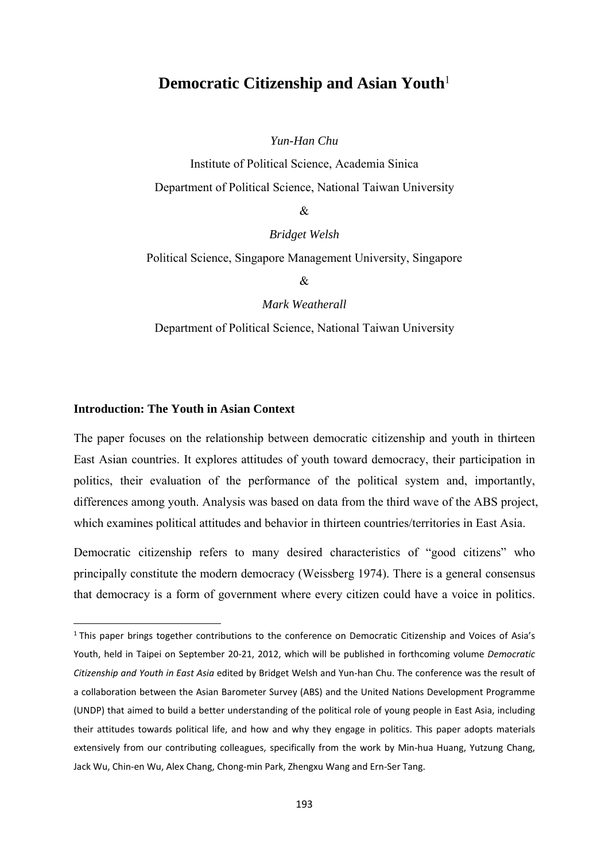## **Democratic Citizenship and Asian Youth**<sup>1</sup>

*Yun-Han Chu* 

Institute of Political Science, Academia Sinica Department of Political Science, National Taiwan University

 $\mathcal{R}$ 

*Bridget Welsh* 

Political Science, Singapore Management University, Singapore

&

*Mark Weatherall*  Department of Political Science, National Taiwan University

#### **Introduction: The Youth in Asian Context**

The paper focuses on the relationship between democratic citizenship and youth in thirteen East Asian countries. It explores attitudes of youth toward democracy, their participation in politics, their evaluation of the performance of the political system and, importantly, differences among youth. Analysis was based on data from the third wave of the ABS project, which examines political attitudes and behavior in thirteen countries/territories in East Asia.

Democratic citizenship refers to many desired characteristics of "good citizens" who principally constitute the modern democracy (Weissberg 1974). There is a general consensus that democracy is a form of government where every citizen could have a voice in politics.

<sup>&</sup>lt;sup>1</sup> This paper brings together contributions to the conference on Democratic Citizenship and Voices of Asia's Youth, held in Taipei on September 20‐21, 2012, which will be published in forthcoming volume *Democratic Citizenship and Youth in East Asia* edited by Bridget Welsh and Yun‐han Chu. The conference was the result of a collaboration between the Asian Barometer Survey (ABS) and the United Nations Development Programme (UNDP) that aimed to build a better understanding of the political role of young people in East Asia, including their attitudes towards political life, and how and why they engage in politics. This paper adopts materials extensively from our contributing colleagues, specifically from the work by Min-hua Huang, Yutzung Chang, Jack Wu, Chin‐en Wu, Alex Chang, Chong‐min Park, Zhengxu Wang and Ern‐Ser Tang.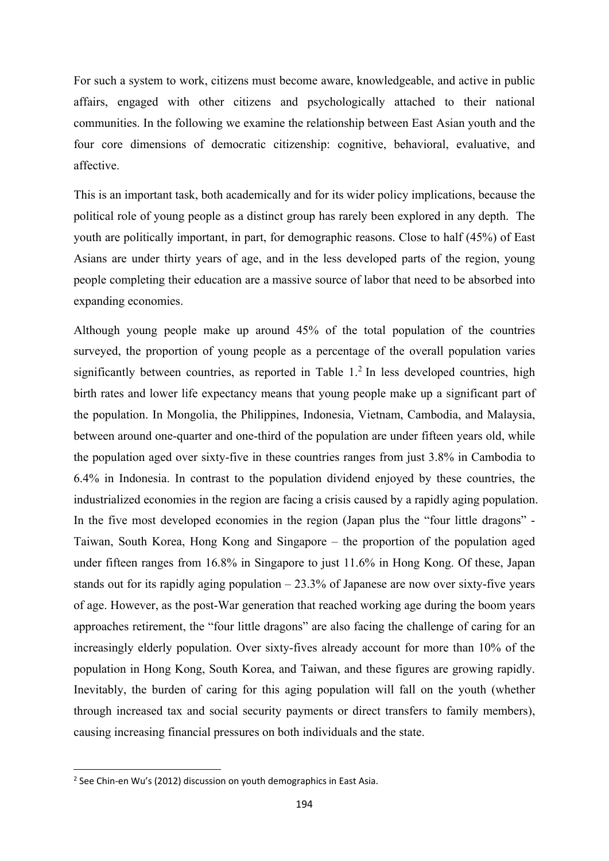For such a system to work, citizens must become aware, knowledgeable, and active in public affairs, engaged with other citizens and psychologically attached to their national communities. In the following we examine the relationship between East Asian youth and the four core dimensions of democratic citizenship: cognitive, behavioral, evaluative, and affective.

This is an important task, both academically and for its wider policy implications, because the political role of young people as a distinct group has rarely been explored in any depth. The youth are politically important, in part, for demographic reasons. Close to half (45%) of East Asians are under thirty years of age, and in the less developed parts of the region, young people completing their education are a massive source of labor that need to be absorbed into expanding economies.

Although young people make up around 45% of the total population of the countries surveyed, the proportion of young people as a percentage of the overall population varies significantly between countries, as reported in Table  $1<sup>2</sup>$  In less developed countries, high birth rates and lower life expectancy means that young people make up a significant part of the population. In Mongolia, the Philippines, Indonesia, Vietnam, Cambodia, and Malaysia, between around one-quarter and one-third of the population are under fifteen years old, while the population aged over sixty-five in these countries ranges from just 3.8% in Cambodia to 6.4% in Indonesia. In contrast to the population dividend enjoyed by these countries, the industrialized economies in the region are facing a crisis caused by a rapidly aging population. In the five most developed economies in the region (Japan plus the "four little dragons" - Taiwan, South Korea, Hong Kong and Singapore – the proportion of the population aged under fifteen ranges from 16.8% in Singapore to just 11.6% in Hong Kong. Of these, Japan stands out for its rapidly aging population  $-23.3\%$  of Japanese are now over sixty-five years of age. However, as the post-War generation that reached working age during the boom years approaches retirement, the "four little dragons" are also facing the challenge of caring for an increasingly elderly population. Over sixty-fives already account for more than 10% of the population in Hong Kong, South Korea, and Taiwan, and these figures are growing rapidly. Inevitably, the burden of caring for this aging population will fall on the youth (whether through increased tax and social security payments or direct transfers to family members), causing increasing financial pressures on both individuals and the state.

<sup>&</sup>lt;sup>2</sup> See Chin-en Wu's (2012) discussion on youth demographics in East Asia.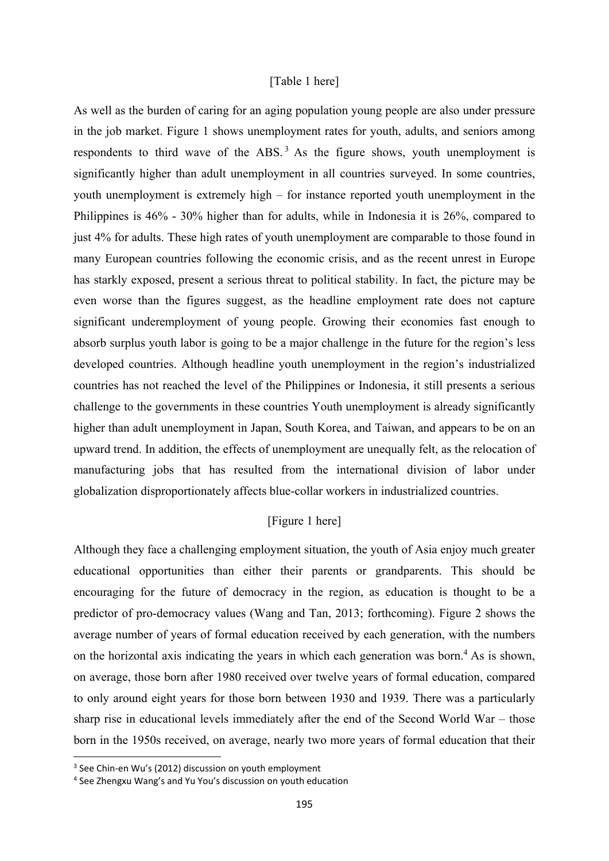#### [Table 1 here]

As well as the burden of caring for an aging population young people are also under pressure in the job market. Figure 1 shows unemployment rates for youth, adults, and seniors among respondents to third wave of the ABS.<sup>3</sup> As the figure shows, youth unemployment is significantly higher than adult unemployment in all countries surveyed. In some countries, youth unemployment is extremely high – for instance reported youth unemployment in the Philippines is 46% - 30% higher than for adults, while in Indonesia it is 26%, compared to just 4% for adults. These high rates of youth unemployment are comparable to those found in many European countries following the economic crisis, and as the recent unrest in Europe has starkly exposed, present a serious threat to political stability. In fact, the picture may be even worse than the figures suggest, as the headline employment rate does not capture significant underemployment of young people. Growing their economies fast enough to absorb surplus youth labor is going to be a major challenge in the future for the region's less developed countries. Although headline youth unemployment in the region's industrialized countries has not reached the level of the Philippines or Indonesia, it still presents a serious challenge to the governments in these countries Youth unemployment is already significantly higher than adult unemployment in Japan, South Korea, and Taiwan, and appears to be on an upward trend. In addition, the effects of unemployment are unequally felt, as the relocation of manufacturing jobs that has resulted from the international division of labor under globalization disproportionately affects blue-collar workers in industrialized countries.

#### [Figure 1 here]

Although they face a challenging employment situation, the youth of Asia enjoy much greater educational opportunities than either their parents or grandparents. This should be encouraging for the future of democracy in the region, as education is thought to be a predictor of pro-democracy values (Wang and Tan, 2013; forthcoming). Figure 2 shows the average number of years of formal education received by each generation, with the numbers on the horizontal axis indicating the years in which each generation was born. $4$  As is shown, on average, those born after 1980 received over twelve years of formal education, compared to only around eight years for those born between 1930 and 1939. There was a particularly sharp rise in educational levels immediately after the end of the Second World War – those born in the 1950s received, on average, nearly two more years of formal education that their

<sup>&</sup>lt;sup>3</sup> See Chin-en Wu's (2012) discussion on youth employment

<sup>4</sup> See Zhengxu Wang's and Yu You's discussion on youth education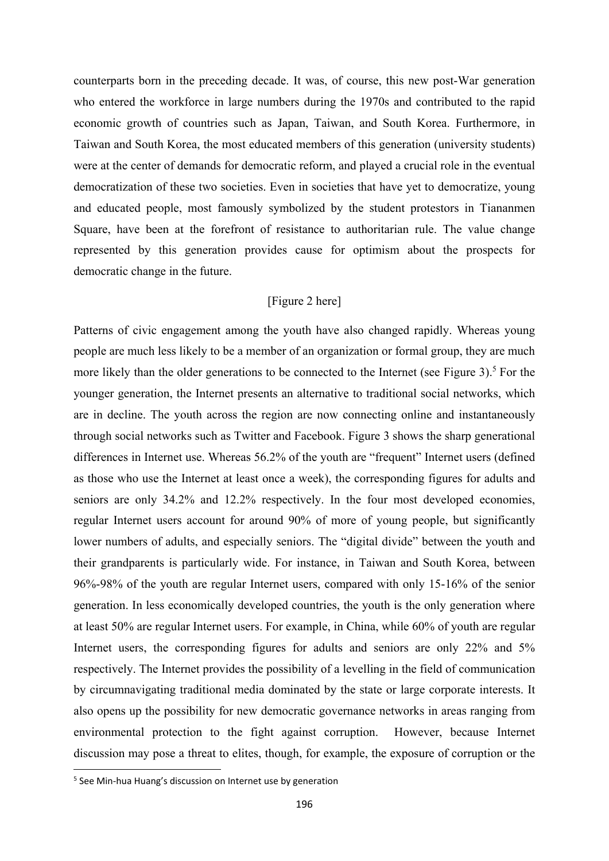counterparts born in the preceding decade. It was, of course, this new post-War generation who entered the workforce in large numbers during the 1970s and contributed to the rapid economic growth of countries such as Japan, Taiwan, and South Korea. Furthermore, in Taiwan and South Korea, the most educated members of this generation (university students) were at the center of demands for democratic reform, and played a crucial role in the eventual democratization of these two societies. Even in societies that have yet to democratize, young and educated people, most famously symbolized by the student protestors in Tiananmen Square, have been at the forefront of resistance to authoritarian rule. The value change represented by this generation provides cause for optimism about the prospects for democratic change in the future.

#### [Figure 2 here]

Patterns of civic engagement among the youth have also changed rapidly. Whereas young people are much less likely to be a member of an organization or formal group, they are much more likely than the older generations to be connected to the Internet (see Figure  $3$ ).<sup>5</sup> For the younger generation, the Internet presents an alternative to traditional social networks, which are in decline. The youth across the region are now connecting online and instantaneously through social networks such as Twitter and Facebook. Figure 3 shows the sharp generational differences in Internet use. Whereas 56.2% of the youth are "frequent" Internet users (defined as those who use the Internet at least once a week), the corresponding figures for adults and seniors are only 34.2% and 12.2% respectively. In the four most developed economies, regular Internet users account for around 90% of more of young people, but significantly lower numbers of adults, and especially seniors. The "digital divide" between the youth and their grandparents is particularly wide. For instance, in Taiwan and South Korea, between 96%-98% of the youth are regular Internet users, compared with only 15-16% of the senior generation. In less economically developed countries, the youth is the only generation where at least 50% are regular Internet users. For example, in China, while 60% of youth are regular Internet users, the corresponding figures for adults and seniors are only 22% and 5% respectively. The Internet provides the possibility of a levelling in the field of communication by circumnavigating traditional media dominated by the state or large corporate interests. It also opens up the possibility for new democratic governance networks in areas ranging from environmental protection to the fight against corruption. However, because Internet discussion may pose a threat to elites, though, for example, the exposure of corruption or the

<sup>5</sup> See Min‐hua Huang's discussion on Internet use by generation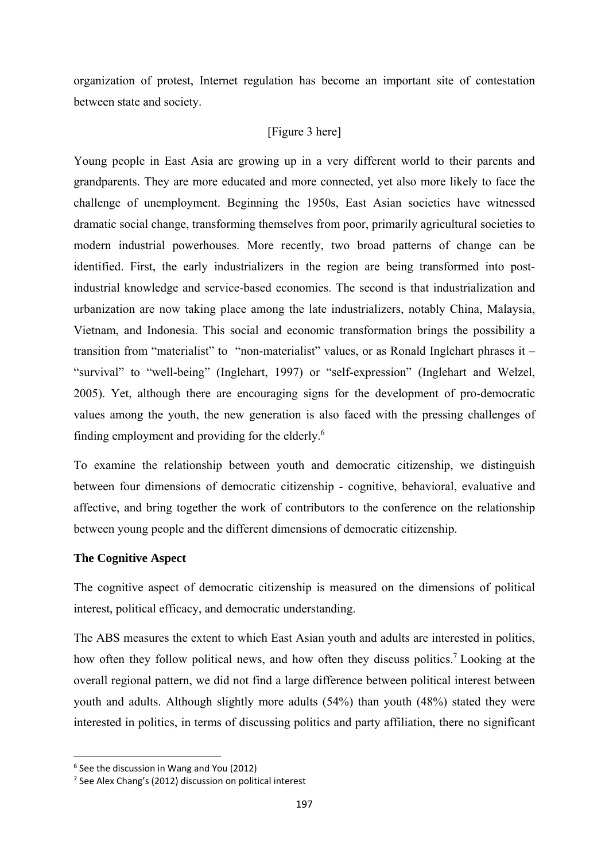organization of protest, Internet regulation has become an important site of contestation between state and society.

## [Figure 3 here]

Young people in East Asia are growing up in a very different world to their parents and grandparents. They are more educated and more connected, yet also more likely to face the challenge of unemployment. Beginning the 1950s, East Asian societies have witnessed dramatic social change, transforming themselves from poor, primarily agricultural societies to modern industrial powerhouses. More recently, two broad patterns of change can be identified. First, the early industrializers in the region are being transformed into postindustrial knowledge and service-based economies. The second is that industrialization and urbanization are now taking place among the late industrializers, notably China, Malaysia, Vietnam, and Indonesia. This social and economic transformation brings the possibility a transition from "materialist" to "non-materialist" values, or as Ronald Inglehart phrases it – "survival" to "well-being" (Inglehart, 1997) or "self-expression" (Inglehart and Welzel, 2005). Yet, although there are encouraging signs for the development of pro-democratic values among the youth, the new generation is also faced with the pressing challenges of finding employment and providing for the elderly.<sup>6</sup>

To examine the relationship between youth and democratic citizenship, we distinguish between four dimensions of democratic citizenship - cognitive, behavioral, evaluative and affective, and bring together the work of contributors to the conference on the relationship between young people and the different dimensions of democratic citizenship.

## **The Cognitive Aspect**

The cognitive aspect of democratic citizenship is measured on the dimensions of political interest, political efficacy, and democratic understanding.

The ABS measures the extent to which East Asian youth and adults are interested in politics, how often they follow political news, and how often they discuss politics.<sup>7</sup> Looking at the overall regional pattern, we did not find a large difference between political interest between youth and adults. Although slightly more adults (54%) than youth (48%) stated they were interested in politics, in terms of discussing politics and party affiliation, there no significant

<sup>6</sup> See the discussion in Wang and You (2012)

<sup>7</sup> See Alex Chang's (2012) discussion on political interest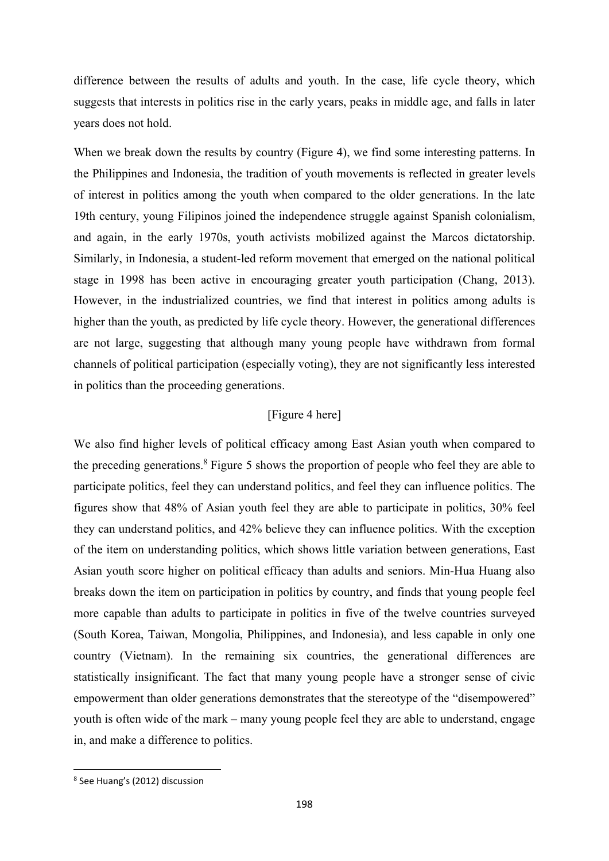difference between the results of adults and youth. In the case, life cycle theory, which suggests that interests in politics rise in the early years, peaks in middle age, and falls in later years does not hold.

When we break down the results by country (Figure 4), we find some interesting patterns. In the Philippines and Indonesia, the tradition of youth movements is reflected in greater levels of interest in politics among the youth when compared to the older generations. In the late 19th century, young Filipinos joined the independence struggle against Spanish colonialism, and again, in the early 1970s, youth activists mobilized against the Marcos dictatorship. Similarly, in Indonesia, a student-led reform movement that emerged on the national political stage in 1998 has been active in encouraging greater youth participation (Chang, 2013). However, in the industrialized countries, we find that interest in politics among adults is higher than the youth, as predicted by life cycle theory. However, the generational differences are not large, suggesting that although many young people have withdrawn from formal channels of political participation (especially voting), they are not significantly less interested in politics than the proceeding generations.

#### [Figure 4 here]

We also find higher levels of political efficacy among East Asian youth when compared to the preceding generations.<sup>8</sup> Figure 5 shows the proportion of people who feel they are able to participate politics, feel they can understand politics, and feel they can influence politics. The figures show that 48% of Asian youth feel they are able to participate in politics, 30% feel they can understand politics, and 42% believe they can influence politics. With the exception of the item on understanding politics, which shows little variation between generations, East Asian youth score higher on political efficacy than adults and seniors. Min-Hua Huang also breaks down the item on participation in politics by country, and finds that young people feel more capable than adults to participate in politics in five of the twelve countries surveyed (South Korea, Taiwan, Mongolia, Philippines, and Indonesia), and less capable in only one country (Vietnam). In the remaining six countries, the generational differences are statistically insignificant. The fact that many young people have a stronger sense of civic empowerment than older generations demonstrates that the stereotype of the "disempowered" youth is often wide of the mark – many young people feel they are able to understand, engage in, and make a difference to politics.

<sup>8</sup> See Huang's (2012) discussion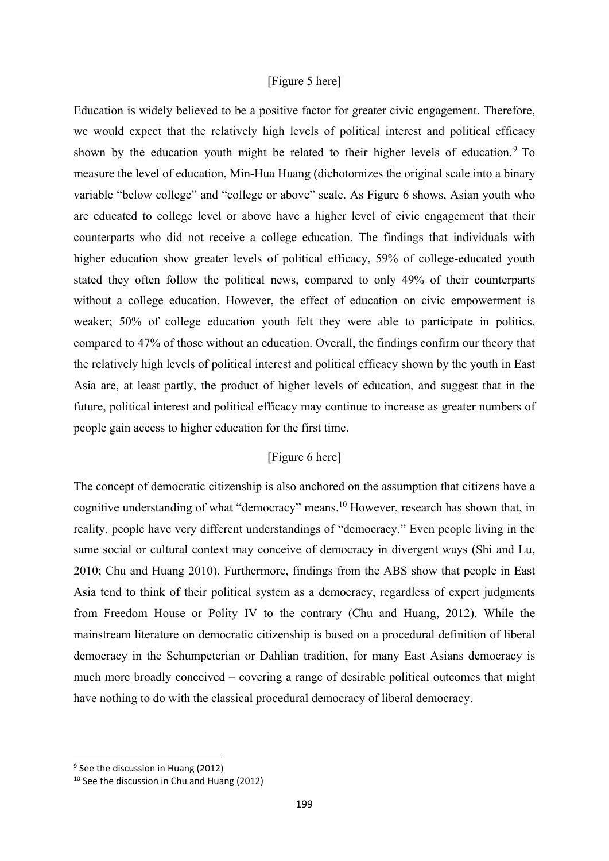#### [Figure 5 here]

Education is widely believed to be a positive factor for greater civic engagement. Therefore, we would expect that the relatively high levels of political interest and political efficacy shown by the education youth might be related to their higher levels of education.<sup>9</sup> To measure the level of education, Min-Hua Huang (dichotomizes the original scale into a binary variable "below college" and "college or above" scale. As Figure 6 shows, Asian youth who are educated to college level or above have a higher level of civic engagement that their counterparts who did not receive a college education. The findings that individuals with higher education show greater levels of political efficacy, 59% of college-educated youth stated they often follow the political news, compared to only 49% of their counterparts without a college education. However, the effect of education on civic empowerment is weaker; 50% of college education youth felt they were able to participate in politics, compared to 47% of those without an education. Overall, the findings confirm our theory that the relatively high levels of political interest and political efficacy shown by the youth in East Asia are, at least partly, the product of higher levels of education, and suggest that in the future, political interest and political efficacy may continue to increase as greater numbers of people gain access to higher education for the first time.

#### [Figure 6 here]

The concept of democratic citizenship is also anchored on the assumption that citizens have a cognitive understanding of what "democracy" means.<sup>10</sup> However, research has shown that, in reality, people have very different understandings of "democracy." Even people living in the same social or cultural context may conceive of democracy in divergent ways (Shi and Lu, 2010; Chu and Huang 2010). Furthermore, findings from the ABS show that people in East Asia tend to think of their political system as a democracy, regardless of expert judgments from Freedom House or Polity IV to the contrary (Chu and Huang, 2012). While the mainstream literature on democratic citizenship is based on a procedural definition of liberal democracy in the Schumpeterian or Dahlian tradition, for many East Asians democracy is much more broadly conceived – covering a range of desirable political outcomes that might have nothing to do with the classical procedural democracy of liberal democracy.

 <sup>9</sup> See the discussion in Huang (2012)

<sup>10</sup> See the discussion in Chu and Huang (2012)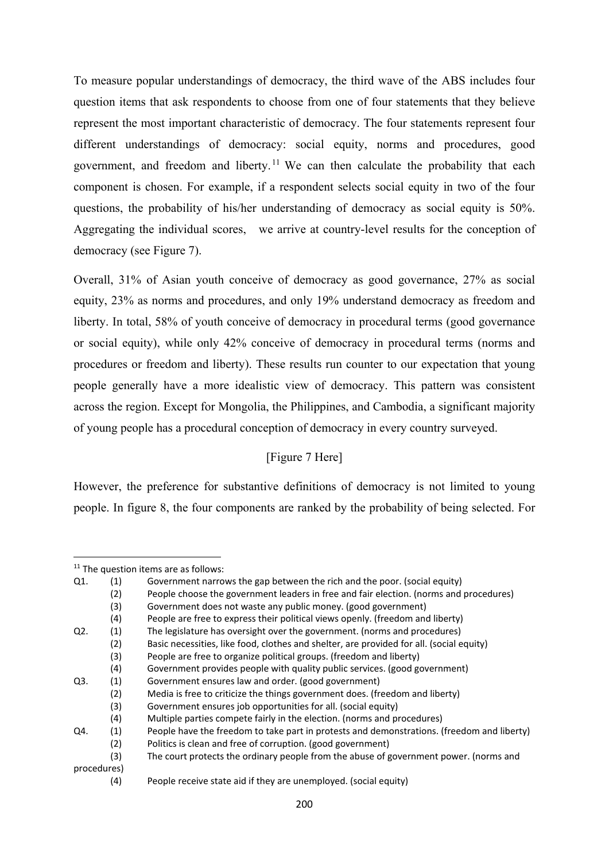To measure popular understandings of democracy, the third wave of the ABS includes four question items that ask respondents to choose from one of four statements that they believe represent the most important characteristic of democracy. The four statements represent four different understandings of democracy: social equity, norms and procedures, good government, and freedom and liberty.<sup>11</sup> We can then calculate the probability that each component is chosen. For example, if a respondent selects social equity in two of the four questions, the probability of his/her understanding of democracy as social equity is 50%. Aggregating the individual scores, we arrive at country-level results for the conception of democracy (see Figure 7).

Overall, 31% of Asian youth conceive of democracy as good governance, 27% as social equity, 23% as norms and procedures, and only 19% understand democracy as freedom and liberty. In total, 58% of youth conceive of democracy in procedural terms (good governance or social equity), while only 42% conceive of democracy in procedural terms (norms and procedures or freedom and liberty). These results run counter to our expectation that young people generally have a more idealistic view of democracy. This pattern was consistent across the region. Except for Mongolia, the Philippines, and Cambodia, a significant majority of young people has a procedural conception of democracy in every country surveyed.

## [Figure 7 Here]

However, the preference for substantive definitions of democracy is not limited to young people. In figure 8, the four components are ranked by the probability of being selected. For

(3) People are free to organize political groups. (freedom and liberty)

  $11$  The question items are as follows:

Q1. (1) Government narrows the gap between the rich and the poor. (social equity)

<sup>(2)</sup> People choose the government leaders in free and fair election. (norms and procedures)

<sup>(3)</sup> Government does not waste any public money. (good government)

<sup>(4)</sup> People are free to express their political views openly. (freedom and liberty)

Q2. (1) The legislature has oversight over the government. (norms and procedures)

<sup>(2)</sup> Basic necessities, like food, clothes and shelter, are provided for all. (social equity)

<sup>(4)</sup> Government provides people with quality public services. (good government)

Q3. (1) Government ensures law and order. (good government)

<sup>(2)</sup> Media is free to criticize the things government does. (freedom and liberty)

<sup>(3)</sup> Government ensures job opportunities for all. (social equity)

<sup>(4)</sup> Multiple parties compete fairly in the election. (norms and procedures)

Q4. (1) People have the freedom to take part in protests and demonstrations. (freedom and liberty)

<sup>(2)</sup> Politics is clean and free of corruption. (good government)

<sup>(3)</sup> The court protects the ordinary people from the abuse of government power. (norms and procedures)

<sup>(4)</sup> People receive state aid if they are unemployed. (social equity)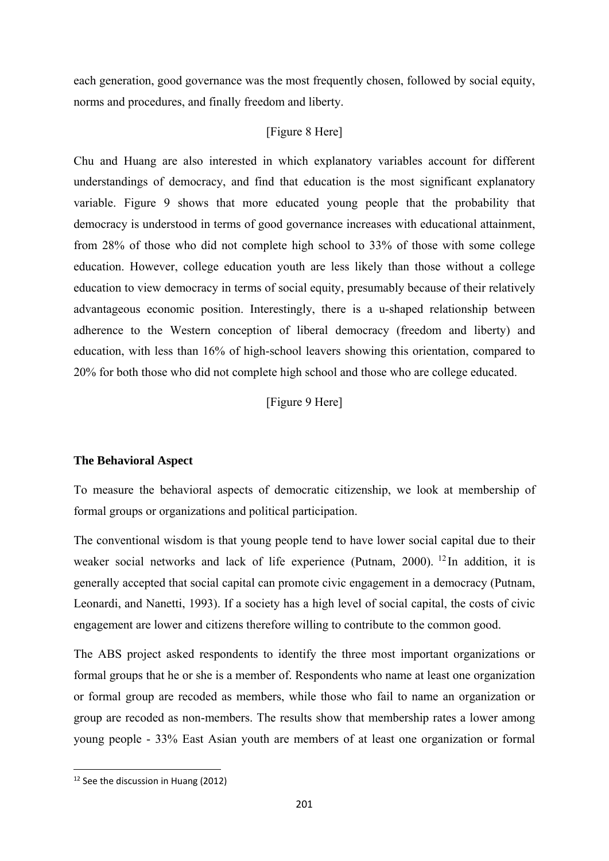each generation, good governance was the most frequently chosen, followed by social equity, norms and procedures, and finally freedom and liberty.

#### [Figure 8 Here]

Chu and Huang are also interested in which explanatory variables account for different understandings of democracy, and find that education is the most significant explanatory variable. Figure 9 shows that more educated young people that the probability that democracy is understood in terms of good governance increases with educational attainment, from 28% of those who did not complete high school to 33% of those with some college education. However, college education youth are less likely than those without a college education to view democracy in terms of social equity, presumably because of their relatively advantageous economic position. Interestingly, there is a u-shaped relationship between adherence to the Western conception of liberal democracy (freedom and liberty) and education, with less than 16% of high-school leavers showing this orientation, compared to 20% for both those who did not complete high school and those who are college educated.

[Figure 9 Here]

#### **The Behavioral Aspect**

To measure the behavioral aspects of democratic citizenship, we look at membership of formal groups or organizations and political participation.

The conventional wisdom is that young people tend to have lower social capital due to their weaker social networks and lack of life experience (Putnam, 2000). <sup>12</sup> In addition, it is generally accepted that social capital can promote civic engagement in a democracy (Putnam, Leonardi, and Nanetti, 1993). If a society has a high level of social capital, the costs of civic engagement are lower and citizens therefore willing to contribute to the common good.

The ABS project asked respondents to identify the three most important organizations or formal groups that he or she is a member of. Respondents who name at least one organization or formal group are recoded as members, while those who fail to name an organization or group are recoded as non-members. The results show that membership rates a lower among young people - 33% East Asian youth are members of at least one organization or formal

 <sup>12</sup> See the discussion in Huang (2012)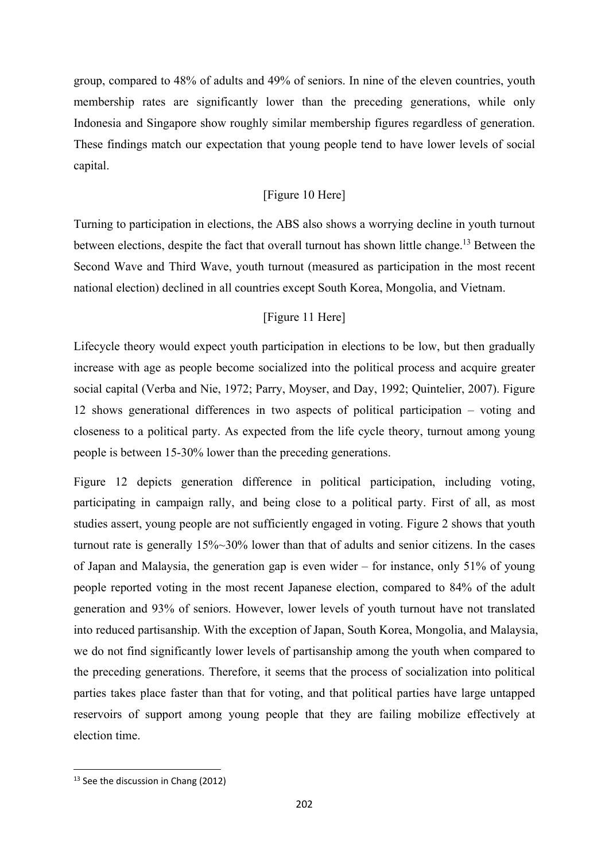group, compared to 48% of adults and 49% of seniors. In nine of the eleven countries, youth membership rates are significantly lower than the preceding generations, while only Indonesia and Singapore show roughly similar membership figures regardless of generation. These findings match our expectation that young people tend to have lower levels of social capital.

## [Figure 10 Here]

Turning to participation in elections, the ABS also shows a worrying decline in youth turnout between elections, despite the fact that overall turnout has shown little change.<sup>13</sup> Between the Second Wave and Third Wave, youth turnout (measured as participation in the most recent national election) declined in all countries except South Korea, Mongolia, and Vietnam.

## [Figure 11 Here]

Lifecycle theory would expect youth participation in elections to be low, but then gradually increase with age as people become socialized into the political process and acquire greater social capital (Verba and Nie, 1972; Parry, Moyser, and Day, 1992; Quintelier, 2007). Figure 12 shows generational differences in two aspects of political participation – voting and closeness to a political party. As expected from the life cycle theory, turnout among young people is between 15-30% lower than the preceding generations.

Figure 12 depicts generation difference in political participation, including voting, participating in campaign rally, and being close to a political party. First of all, as most studies assert, young people are not sufficiently engaged in voting. Figure 2 shows that youth turnout rate is generally 15%~30% lower than that of adults and senior citizens. In the cases of Japan and Malaysia, the generation gap is even wider – for instance, only 51% of young people reported voting in the most recent Japanese election, compared to 84% of the adult generation and 93% of seniors. However, lower levels of youth turnout have not translated into reduced partisanship. With the exception of Japan, South Korea, Mongolia, and Malaysia, we do not find significantly lower levels of partisanship among the youth when compared to the preceding generations. Therefore, it seems that the process of socialization into political parties takes place faster than that for voting, and that political parties have large untapped reservoirs of support among young people that they are failing mobilize effectively at election time.

 <sup>13</sup> See the discussion in Chang (2012)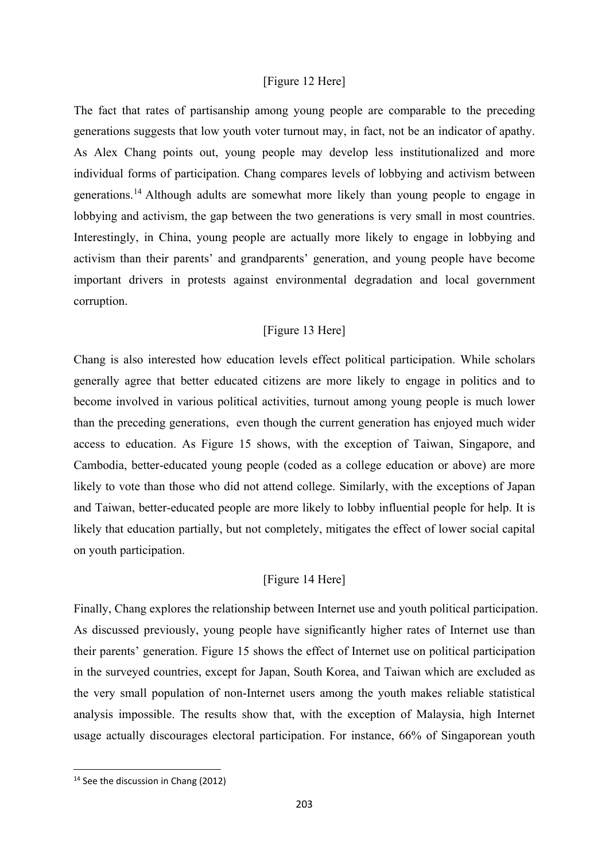#### [Figure 12 Here]

The fact that rates of partisanship among young people are comparable to the preceding generations suggests that low youth voter turnout may, in fact, not be an indicator of apathy. As Alex Chang points out, young people may develop less institutionalized and more individual forms of participation. Chang compares levels of lobbying and activism between generations.14 Although adults are somewhat more likely than young people to engage in lobbying and activism, the gap between the two generations is very small in most countries. Interestingly, in China, young people are actually more likely to engage in lobbying and activism than their parents' and grandparents' generation, and young people have become important drivers in protests against environmental degradation and local government corruption.

#### [Figure 13 Here]

Chang is also interested how education levels effect political participation. While scholars generally agree that better educated citizens are more likely to engage in politics and to become involved in various political activities, turnout among young people is much lower than the preceding generations, even though the current generation has enjoyed much wider access to education. As Figure 15 shows, with the exception of Taiwan, Singapore, and Cambodia, better-educated young people (coded as a college education or above) are more likely to vote than those who did not attend college. Similarly, with the exceptions of Japan and Taiwan, better-educated people are more likely to lobby influential people for help. It is likely that education partially, but not completely, mitigates the effect of lower social capital on youth participation.

#### [Figure 14 Here]

Finally, Chang explores the relationship between Internet use and youth political participation. As discussed previously, young people have significantly higher rates of Internet use than their parents' generation. Figure 15 shows the effect of Internet use on political participation in the surveyed countries, except for Japan, South Korea, and Taiwan which are excluded as the very small population of non-Internet users among the youth makes reliable statistical analysis impossible. The results show that, with the exception of Malaysia, high Internet usage actually discourages electoral participation. For instance, 66% of Singaporean youth

 <sup>14</sup> See the discussion in Chang (2012)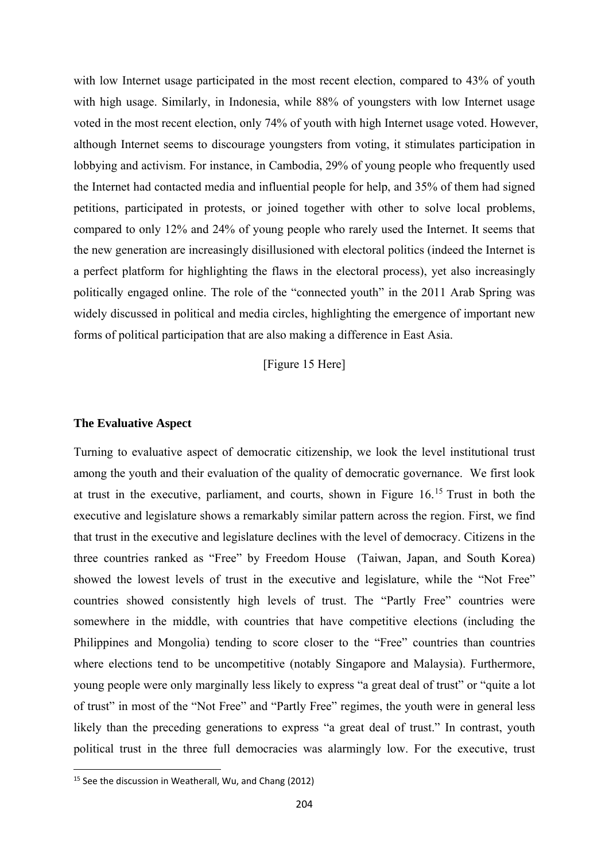with low Internet usage participated in the most recent election, compared to 43% of youth with high usage. Similarly, in Indonesia, while 88% of youngsters with low Internet usage voted in the most recent election, only 74% of youth with high Internet usage voted. However, although Internet seems to discourage youngsters from voting, it stimulates participation in lobbying and activism. For instance, in Cambodia, 29% of young people who frequently used the Internet had contacted media and influential people for help, and 35% of them had signed petitions, participated in protests, or joined together with other to solve local problems, compared to only 12% and 24% of young people who rarely used the Internet. It seems that the new generation are increasingly disillusioned with electoral politics (indeed the Internet is a perfect platform for highlighting the flaws in the electoral process), yet also increasingly politically engaged online. The role of the "connected youth" in the 2011 Arab Spring was widely discussed in political and media circles, highlighting the emergence of important new forms of political participation that are also making a difference in East Asia.

[Figure 15 Here]

#### **The Evaluative Aspect**

Turning to evaluative aspect of democratic citizenship, we look the level institutional trust among the youth and their evaluation of the quality of democratic governance. We first look at trust in the executive, parliament, and courts, shown in Figure 16.15 Trust in both the executive and legislature shows a remarkably similar pattern across the region. First, we find that trust in the executive and legislature declines with the level of democracy. Citizens in the three countries ranked as "Free" by Freedom House (Taiwan, Japan, and South Korea) showed the lowest levels of trust in the executive and legislature, while the "Not Free" countries showed consistently high levels of trust. The "Partly Free" countries were somewhere in the middle, with countries that have competitive elections (including the Philippines and Mongolia) tending to score closer to the "Free" countries than countries where elections tend to be uncompetitive (notably Singapore and Malaysia). Furthermore, young people were only marginally less likely to express "a great deal of trust" or "quite a lot of trust" in most of the "Not Free" and "Partly Free" regimes, the youth were in general less likely than the preceding generations to express "a great deal of trust." In contrast, youth political trust in the three full democracies was alarmingly low. For the executive, trust

<sup>15</sup> See the discussion in Weatherall, Wu, and Chang (2012)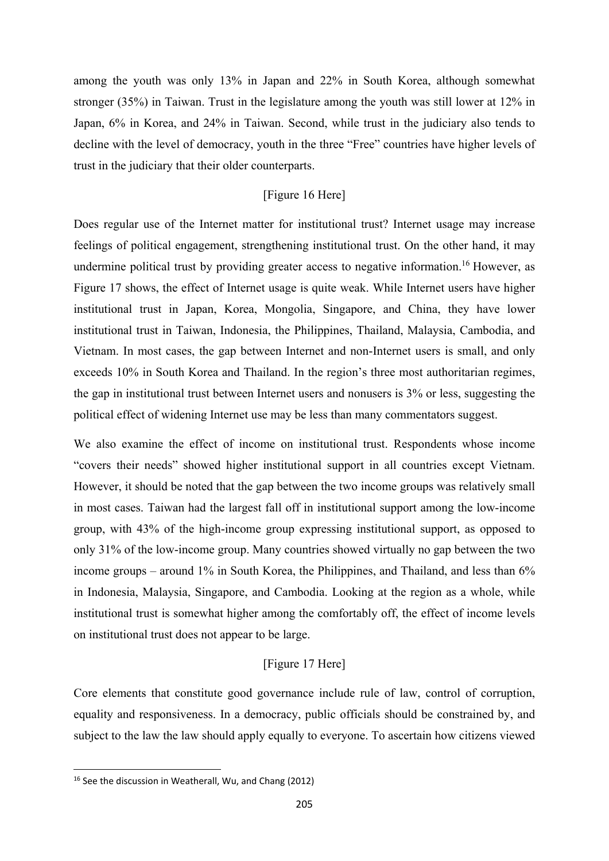among the youth was only 13% in Japan and 22% in South Korea, although somewhat stronger (35%) in Taiwan. Trust in the legislature among the youth was still lower at 12% in Japan, 6% in Korea, and 24% in Taiwan. Second, while trust in the judiciary also tends to decline with the level of democracy, youth in the three "Free" countries have higher levels of trust in the judiciary that their older counterparts.

## [Figure 16 Here]

Does regular use of the Internet matter for institutional trust? Internet usage may increase feelings of political engagement, strengthening institutional trust. On the other hand, it may undermine political trust by providing greater access to negative information.<sup>16</sup> However, as Figure 17 shows, the effect of Internet usage is quite weak. While Internet users have higher institutional trust in Japan, Korea, Mongolia, Singapore, and China, they have lower institutional trust in Taiwan, Indonesia, the Philippines, Thailand, Malaysia, Cambodia, and Vietnam. In most cases, the gap between Internet and non-Internet users is small, and only exceeds 10% in South Korea and Thailand. In the region's three most authoritarian regimes, the gap in institutional trust between Internet users and nonusers is 3% or less, suggesting the political effect of widening Internet use may be less than many commentators suggest.

We also examine the effect of income on institutional trust. Respondents whose income "covers their needs" showed higher institutional support in all countries except Vietnam. However, it should be noted that the gap between the two income groups was relatively small in most cases. Taiwan had the largest fall off in institutional support among the low-income group, with 43% of the high-income group expressing institutional support, as opposed to only 31% of the low-income group. Many countries showed virtually no gap between the two income groups – around 1% in South Korea, the Philippines, and Thailand, and less than 6% in Indonesia, Malaysia, Singapore, and Cambodia. Looking at the region as a whole, while institutional trust is somewhat higher among the comfortably off, the effect of income levels on institutional trust does not appear to be large.

#### [Figure 17 Here]

Core elements that constitute good governance include rule of law, control of corruption, equality and responsiveness. In a democracy, public officials should be constrained by, and subject to the law the law should apply equally to everyone. To ascertain how citizens viewed

<sup>16</sup> See the discussion in Weatherall, Wu, and Chang (2012)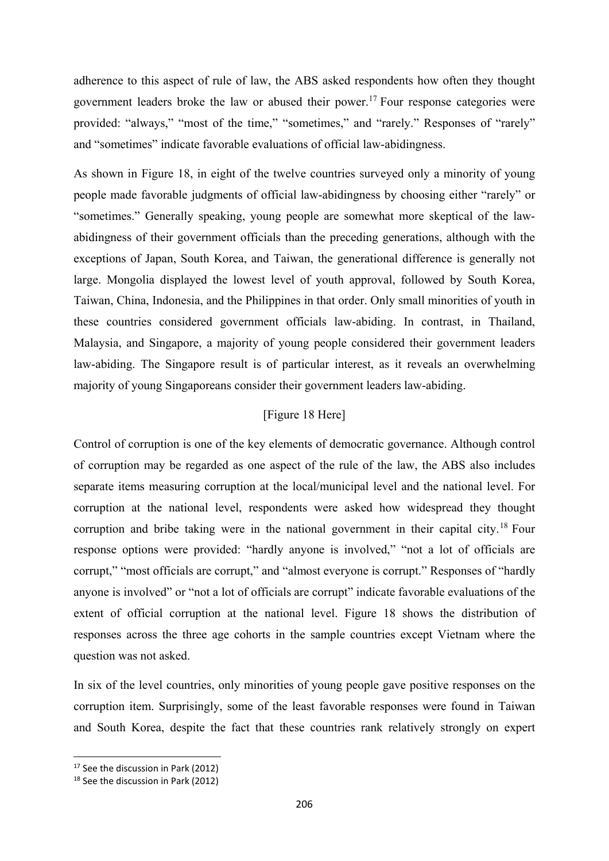adherence to this aspect of rule of law, the ABS asked respondents how often they thought government leaders broke the law or abused their power.<sup>17</sup> Four response categories were provided: "always," "most of the time," "sometimes," and "rarely." Responses of "rarely" and "sometimes" indicate favorable evaluations of official law-abidingness.

As shown in Figure 18, in eight of the twelve countries surveyed only a minority of young people made favorable judgments of official law-abidingness by choosing either "rarely" or "sometimes." Generally speaking, young people are somewhat more skeptical of the lawabidingness of their government officials than the preceding generations, although with the exceptions of Japan, South Korea, and Taiwan, the generational difference is generally not large. Mongolia displayed the lowest level of youth approval, followed by South Korea, Taiwan, China, Indonesia, and the Philippines in that order. Only small minorities of youth in these countries considered government officials law-abiding. In contrast, in Thailand, Malaysia, and Singapore, a majority of young people considered their government leaders law-abiding. The Singapore result is of particular interest, as it reveals an overwhelming majority of young Singaporeans consider their government leaders law-abiding.

#### [Figure 18 Here]

Control of corruption is one of the key elements of democratic governance. Although control of corruption may be regarded as one aspect of the rule of the law, the ABS also includes separate items measuring corruption at the local/municipal level and the national level. For corruption at the national level, respondents were asked how widespread they thought corruption and bribe taking were in the national government in their capital city.<sup>18</sup> Four response options were provided: "hardly anyone is involved," "not a lot of officials are corrupt," "most officials are corrupt," and "almost everyone is corrupt." Responses of "hardly anyone is involved" or "not a lot of officials are corrupt" indicate favorable evaluations of the extent of official corruption at the national level. Figure 18 shows the distribution of responses across the three age cohorts in the sample countries except Vietnam where the question was not asked.

In six of the level countries, only minorities of young people gave positive responses on the corruption item. Surprisingly, some of the least favorable responses were found in Taiwan and South Korea, despite the fact that these countries rank relatively strongly on expert

 <sup>17</sup> See the discussion in Park (2012)

<sup>18</sup> See the discussion in Park (2012)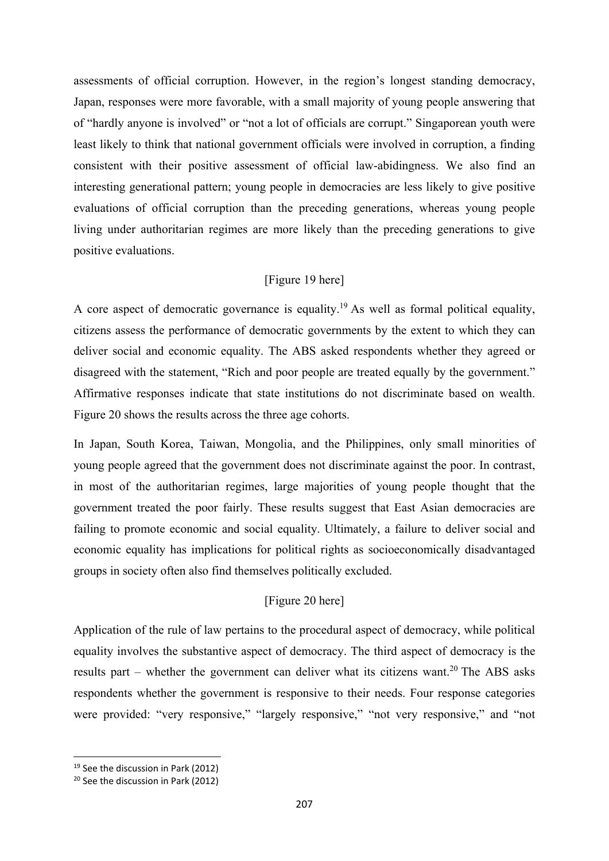assessments of official corruption. However, in the region's longest standing democracy, Japan, responses were more favorable, with a small majority of young people answering that of "hardly anyone is involved" or "not a lot of officials are corrupt." Singaporean youth were least likely to think that national government officials were involved in corruption, a finding consistent with their positive assessment of official law-abidingness. We also find an interesting generational pattern; young people in democracies are less likely to give positive evaluations of official corruption than the preceding generations, whereas young people living under authoritarian regimes are more likely than the preceding generations to give positive evaluations.

#### [Figure 19 here]

A core aspect of democratic governance is equality.<sup>19</sup> As well as formal political equality, citizens assess the performance of democratic governments by the extent to which they can deliver social and economic equality. The ABS asked respondents whether they agreed or disagreed with the statement, "Rich and poor people are treated equally by the government." Affirmative responses indicate that state institutions do not discriminate based on wealth. Figure 20 shows the results across the three age cohorts.

In Japan, South Korea, Taiwan, Mongolia, and the Philippines, only small minorities of young people agreed that the government does not discriminate against the poor. In contrast, in most of the authoritarian regimes, large majorities of young people thought that the government treated the poor fairly. These results suggest that East Asian democracies are failing to promote economic and social equality. Ultimately, a failure to deliver social and economic equality has implications for political rights as socioeconomically disadvantaged groups in society often also find themselves politically excluded.

#### [Figure 20 here]

Application of the rule of law pertains to the procedural aspect of democracy, while political equality involves the substantive aspect of democracy. The third aspect of democracy is the results part – whether the government can deliver what its citizens want.<sup>20</sup> The ABS asks respondents whether the government is responsive to their needs. Four response categories were provided: "very responsive," "largely responsive," "not very responsive," and "not

 <sup>19</sup> See the discussion in Park (2012)

<sup>20</sup> See the discussion in Park (2012)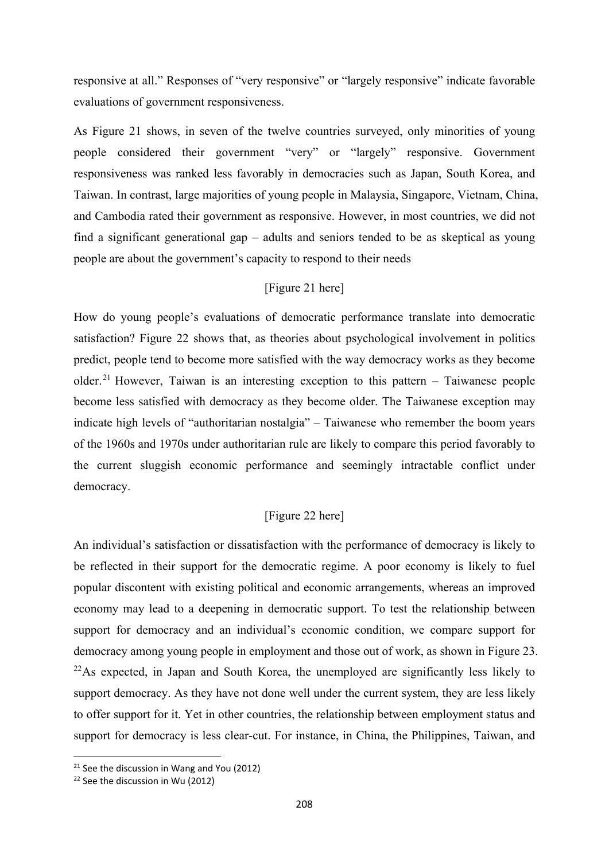responsive at all." Responses of "very responsive" or "largely responsive" indicate favorable evaluations of government responsiveness.

As Figure 21 shows, in seven of the twelve countries surveyed, only minorities of young people considered their government "very" or "largely" responsive. Government responsiveness was ranked less favorably in democracies such as Japan, South Korea, and Taiwan. In contrast, large majorities of young people in Malaysia, Singapore, Vietnam, China, and Cambodia rated their government as responsive. However, in most countries, we did not find a significant generational gap – adults and seniors tended to be as skeptical as young people are about the government's capacity to respond to their needs

## [Figure 21 here]

How do young people's evaluations of democratic performance translate into democratic satisfaction? Figure 22 shows that, as theories about psychological involvement in politics predict, people tend to become more satisfied with the way democracy works as they become older.<sup>21</sup> However, Taiwan is an interesting exception to this pattern  $-$  Taiwanese people become less satisfied with democracy as they become older. The Taiwanese exception may indicate high levels of "authoritarian nostalgia" – Taiwanese who remember the boom years of the 1960s and 1970s under authoritarian rule are likely to compare this period favorably to the current sluggish economic performance and seemingly intractable conflict under democracy.

## [Figure 22 here]

An individual's satisfaction or dissatisfaction with the performance of democracy is likely to be reflected in their support for the democratic regime. A poor economy is likely to fuel popular discontent with existing political and economic arrangements, whereas an improved economy may lead to a deepening in democratic support. To test the relationship between support for democracy and an individual's economic condition, we compare support for democracy among young people in employment and those out of work, as shown in Figure 23.  $22$ As expected, in Japan and South Korea, the unemployed are significantly less likely to support democracy. As they have not done well under the current system, they are less likely to offer support for it. Yet in other countries, the relationship between employment status and support for democracy is less clear-cut. For instance, in China, the Philippines, Taiwan, and

<sup>&</sup>lt;sup>21</sup> See the discussion in Wang and You (2012)

<sup>22</sup> See the discussion in Wu (2012)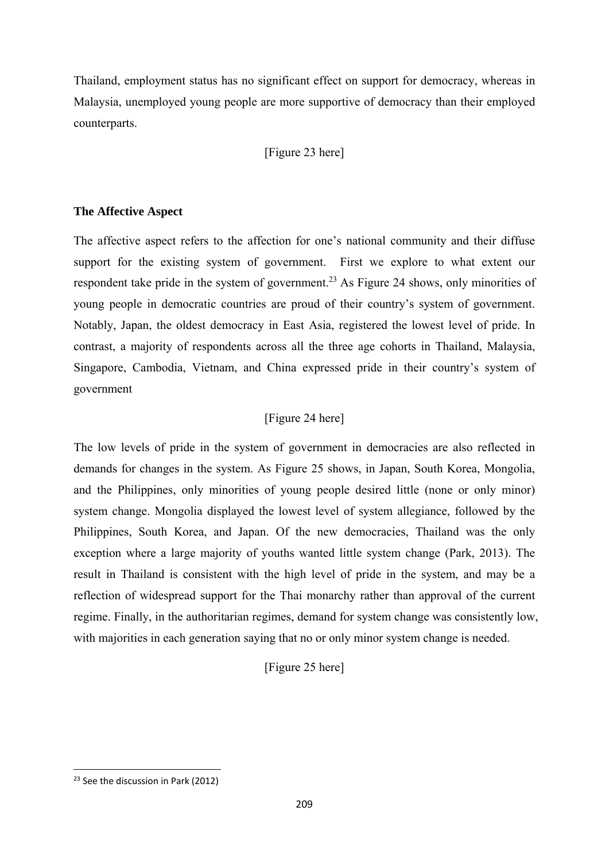Thailand, employment status has no significant effect on support for democracy, whereas in Malaysia, unemployed young people are more supportive of democracy than their employed counterparts.

[Figure 23 here]

#### **The Affective Aspect**

The affective aspect refers to the affection for one's national community and their diffuse support for the existing system of government. First we explore to what extent our respondent take pride in the system of government.<sup>23</sup> As Figure 24 shows, only minorities of young people in democratic countries are proud of their country's system of government. Notably, Japan, the oldest democracy in East Asia, registered the lowest level of pride. In contrast, a majority of respondents across all the three age cohorts in Thailand, Malaysia, Singapore, Cambodia, Vietnam, and China expressed pride in their country's system of government

## [Figure 24 here]

The low levels of pride in the system of government in democracies are also reflected in demands for changes in the system. As Figure 25 shows, in Japan, South Korea, Mongolia, and the Philippines, only minorities of young people desired little (none or only minor) system change. Mongolia displayed the lowest level of system allegiance, followed by the Philippines, South Korea, and Japan. Of the new democracies, Thailand was the only exception where a large majority of youths wanted little system change (Park, 2013). The result in Thailand is consistent with the high level of pride in the system, and may be a reflection of widespread support for the Thai monarchy rather than approval of the current regime. Finally, in the authoritarian regimes, demand for system change was consistently low, with majorities in each generation saying that no or only minor system change is needed.

[Figure 25 here]

 <sup>23</sup> See the discussion in Park (2012)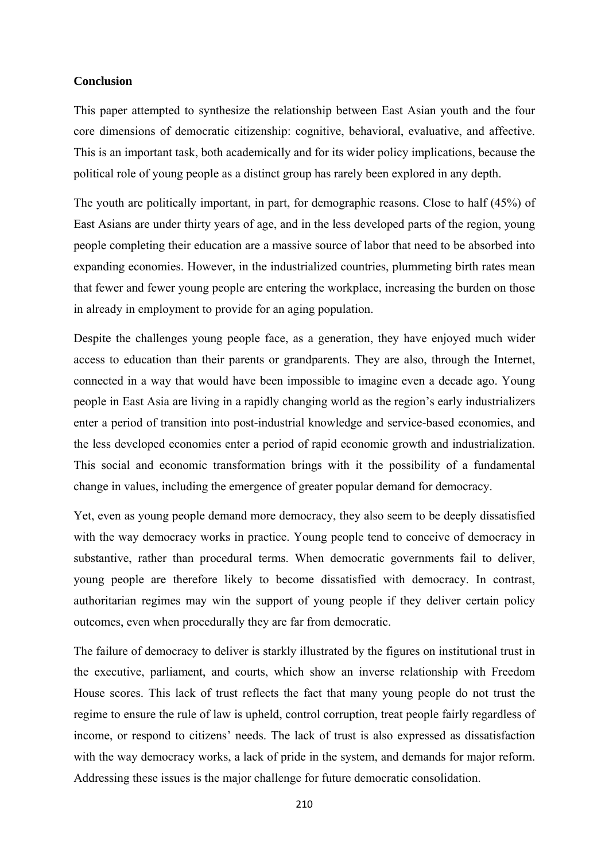#### **Conclusion**

This paper attempted to synthesize the relationship between East Asian youth and the four core dimensions of democratic citizenship: cognitive, behavioral, evaluative, and affective. This is an important task, both academically and for its wider policy implications, because the political role of young people as a distinct group has rarely been explored in any depth.

The youth are politically important, in part, for demographic reasons. Close to half (45%) of East Asians are under thirty years of age, and in the less developed parts of the region, young people completing their education are a massive source of labor that need to be absorbed into expanding economies. However, in the industrialized countries, plummeting birth rates mean that fewer and fewer young people are entering the workplace, increasing the burden on those in already in employment to provide for an aging population.

Despite the challenges young people face, as a generation, they have enjoyed much wider access to education than their parents or grandparents. They are also, through the Internet, connected in a way that would have been impossible to imagine even a decade ago. Young people in East Asia are living in a rapidly changing world as the region's early industrializers enter a period of transition into post-industrial knowledge and service-based economies, and the less developed economies enter a period of rapid economic growth and industrialization. This social and economic transformation brings with it the possibility of a fundamental change in values, including the emergence of greater popular demand for democracy.

Yet, even as young people demand more democracy, they also seem to be deeply dissatisfied with the way democracy works in practice. Young people tend to conceive of democracy in substantive, rather than procedural terms. When democratic governments fail to deliver, young people are therefore likely to become dissatisfied with democracy. In contrast, authoritarian regimes may win the support of young people if they deliver certain policy outcomes, even when procedurally they are far from democratic.

The failure of democracy to deliver is starkly illustrated by the figures on institutional trust in the executive, parliament, and courts, which show an inverse relationship with Freedom House scores. This lack of trust reflects the fact that many young people do not trust the regime to ensure the rule of law is upheld, control corruption, treat people fairly regardless of income, or respond to citizens' needs. The lack of trust is also expressed as dissatisfaction with the way democracy works, a lack of pride in the system, and demands for major reform. Addressing these issues is the major challenge for future democratic consolidation.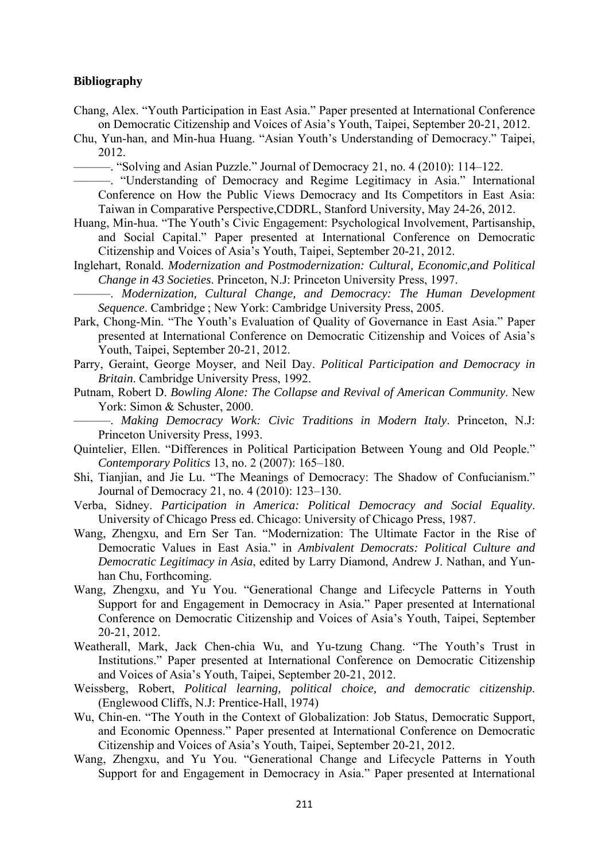#### **Bibliography**

- Chang, Alex. "Youth Participation in East Asia." Paper presented at International Conference on Democratic Citizenship and Voices of Asia's Youth, Taipei, September 20-21, 2012.
- Chu, Yun-han, and Min-hua Huang. "Asian Youth's Understanding of Democracy." Taipei, 2012.

———. "Solving and Asian Puzzle." Journal of Democracy 21, no. 4 (2010): 114–122.

**Example 1998** and 1998. The contract the contract of Democracy and Regime Legitimacy in Asia." International Conference on How the Public Views Democracy and Its Competitors in East Asia: Taiwan in Comparative Perspective,CDDRL, Stanford University, May 24-26, 2012.

- Huang, Min-hua. "The Youth's Civic Engagement: Psychological Involvement, Partisanship, and Social Capital." Paper presented at International Conference on Democratic Citizenship and Voices of Asia's Youth, Taipei, September 20-21, 2012.
- Inglehart, Ronald. *Modernization and Postmodernization: Cultural, Economic,and Political Change in 43 Societies*. Princeton, N.J: Princeton University Press, 1997.
- ———. *Modernization, Cultural Change, and Democracy: The Human Development Sequence*. Cambridge ; New York: Cambridge University Press, 2005.
- Park, Chong-Min. "The Youth's Evaluation of Quality of Governance in East Asia." Paper presented at International Conference on Democratic Citizenship and Voices of Asia's Youth, Taipei, September 20-21, 2012.
- Parry, Geraint, George Moyser, and Neil Day. *Political Participation and Democracy in Britain*. Cambridge University Press, 1992.
- Putnam, Robert D. *Bowling Alone: The Collapse and Revival of American Community*. New York: Simon & Schuster, 2000.

———. *Making Democracy Work: Civic Traditions in Modern Italy*. Princeton, N.J: Princeton University Press, 1993.

- Quintelier, Ellen. "Differences in Political Participation Between Young and Old People." *Contemporary Politics* 13, no. 2 (2007): 165–180.
- Shi, Tianjian, and Jie Lu. "The Meanings of Democracy: The Shadow of Confucianism." Journal of Democracy 21, no. 4 (2010): 123–130.
- Verba, Sidney. *Participation in America: Political Democracy and Social Equality*. University of Chicago Press ed. Chicago: University of Chicago Press, 1987.
- Wang, Zhengxu, and Ern Ser Tan. "Modernization: The Ultimate Factor in the Rise of Democratic Values in East Asia." in *Ambivalent Democrats: Political Culture and Democratic Legitimacy in Asia*, edited by Larry Diamond, Andrew J. Nathan, and Yunhan Chu, Forthcoming.
- Wang, Zhengxu, and Yu You. "Generational Change and Lifecycle Patterns in Youth Support for and Engagement in Democracy in Asia." Paper presented at International Conference on Democratic Citizenship and Voices of Asia's Youth, Taipei, September 20-21, 2012.
- Weatherall, Mark, Jack Chen-chia Wu, and Yu-tzung Chang. "The Youth's Trust in Institutions." Paper presented at International Conference on Democratic Citizenship and Voices of Asia's Youth, Taipei, September 20-21, 2012.
- Weissberg, Robert, *Political learning, political choice, and democratic citizenship*. (Englewood Cliffs, N.J: Prentice-Hall, 1974)
- Wu, Chin-en. "The Youth in the Context of Globalization: Job Status, Democratic Support, and Economic Openness." Paper presented at International Conference on Democratic Citizenship and Voices of Asia's Youth, Taipei, September 20-21, 2012.
- Wang, Zhengxu, and Yu You. "Generational Change and Lifecycle Patterns in Youth Support for and Engagement in Democracy in Asia." Paper presented at International